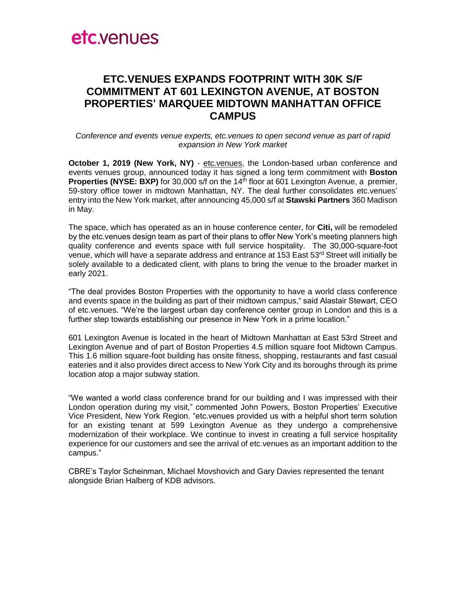# etc.venues

### **ETC.VENUES EXPANDS FOOTPRINT WITH 30K S/F COMMITMENT AT 601 LEXINGTON AVENUE, AT BOSTON PROPERTIES' MARQUEE MIDTOWN MANHATTAN OFFICE CAMPUS**

*Conference and events venue experts, etc.venues to open second venue as part of rapid expansion in New York market* 

**October 1, 2019 (New York, NY)** - [etc.venues,](http://www.etcvenues.com/) the London-based urban conference and events venues group, announced today it has signed a long term commitment with **Boston Properties (NYSE: BXP)** for 30,000 s/f on the 14<sup>th</sup> floor at 601 Lexington Avenue, a premier, 59-story office tower in midtown Manhattan, NY. The deal further consolidates etc.venues' entry into the New York market, after announcing 45,000 s/f at **Stawski Partners** 360 Madison in May.

The space, which has operated as an in house conference center, for **Citi,** will be remodeled by the etc.venues design team as part of their plans to offer New York's meeting planners high quality conference and events space with full service hospitality. The 30,000-square-foot venue, which will have a separate address and entrance at 153 East 53<sup>rd</sup> Street will initially be solely available to a dedicated client, with plans to bring the venue to the broader market in early 2021.

"The deal provides Boston Properties with the opportunity to have a world class conference and events space in the building as part of their midtown campus," said Alastair Stewart, CEO of etc.venues. "We're the largest urban day conference center group in London and this is a further step towards establishing our presence in New York in a prime location."

601 Lexington Avenue is located in the heart of Midtown Manhattan at East 53rd Street and Lexington Avenue and of part of Boston Properties 4.5 million square foot Midtown Campus. This 1.6 million square-foot building has onsite fitness, shopping, restaurants and fast casual eateries and it also provides direct access to New York City and its boroughs through its prime location atop a major subway station.

"We wanted a world class conference brand for our building and I was impressed with their London operation during my visit," commented John Powers, Boston Properties' Executive Vice President, New York Region. "etc.venues provided us with a helpful short term solution for an existing tenant at 599 Lexington Avenue as they undergo a comprehensive modernization of their workplace. We continue to invest in creating a full service hospitality experience for our customers and see the arrival of etc.venues as an important addition to the campus."

CBRE's Taylor Scheinman, Michael Movshovich and Gary Davies represented the tenant alongside Brian Halberg of KDB advisors.